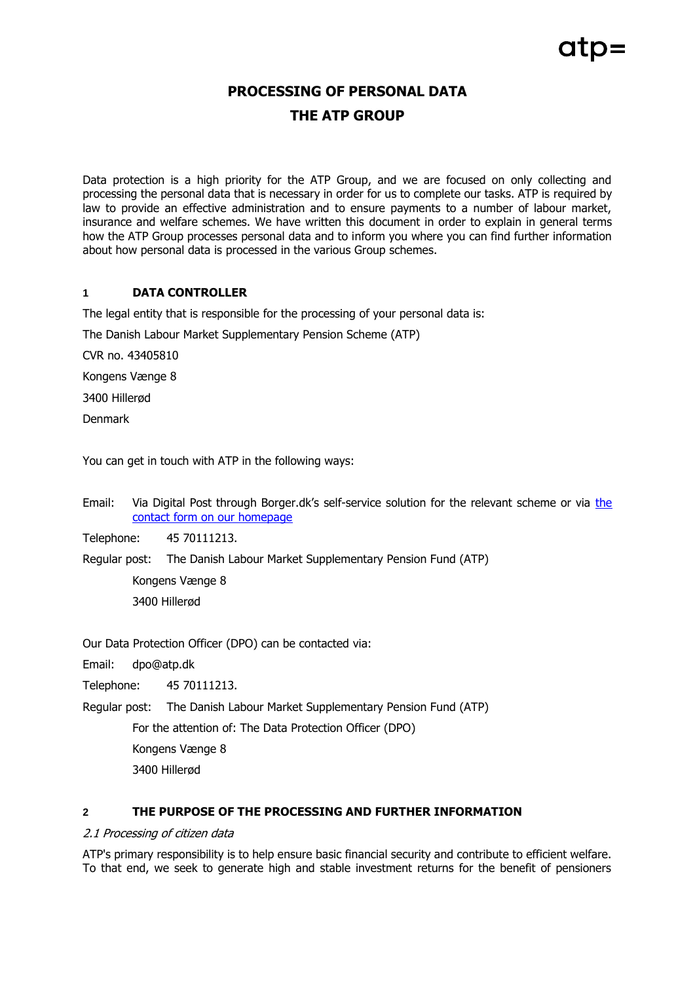# **PROCESSING OF PERSONAL DATA THE ATP GROUP**

Data protection is a high priority for the ATP Group, and we are focused on only collecting and processing the personal data that is necessary in order for us to complete our tasks. ATP is required by law to provide an effective administration and to ensure payments to a number of labour market, insurance and welfare schemes. We have written this document in order to explain in general terms how the ATP Group processes personal data and to inform you where you can find further information about how personal data is processed in the various Group schemes.

## **1 DATA CONTROLLER**

The legal entity that is responsible for the processing of your personal data is:

The Danish Labour Market Supplementary Pension Scheme (ATP)

CVR no. 43405810

Kongens Vænge 8

3400 Hillerød

Denmark

You can get in touch with ATP in the following ways:

Email: Via Digital Post through Borger.dk's self-service solution for [the](https://www.atp.dk/en/contact) relevant scheme or via the [contact form on our homepage](https://www.atp.dk/en/contact)

Telephone: 45 70111213.

Regular post: The Danish Labour Market Supplementary Pension Fund (ATP)

Kongens Vænge 8 3400 Hillerød

Our Data Protection Officer (DPO) can be contacted via:

Email: dpo@atp.dk

Telephone: 45 70111213.

Regular post: The Danish Labour Market Supplementary Pension Fund (ATP)

For the attention of: The Data Protection Officer (DPO)

Kongens Vænge 8

3400 Hillerød

## **2 THE PURPOSE OF THE PROCESSING AND FURTHER INFORMATION**

#### 2.1 Processing of citizen data

ATP's primary responsibility is to help ensure basic financial security and contribute to efficient welfare. To that end, we seek to generate high and stable investment returns for the benefit of pensioners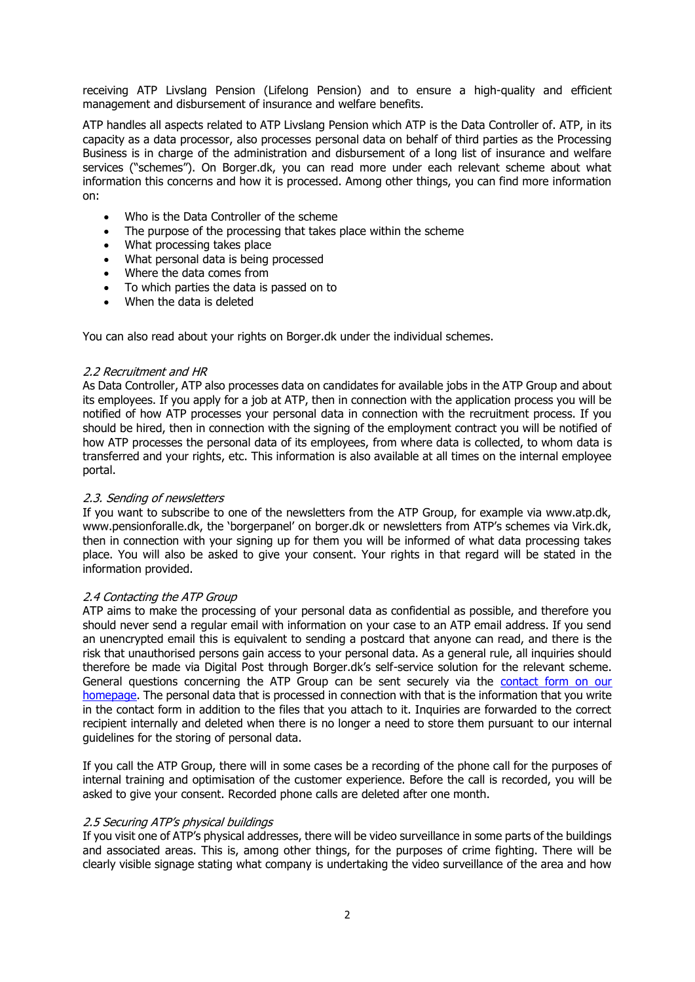receiving ATP Livslang Pension (Lifelong Pension) and to ensure a high-quality and efficient management and disbursement of insurance and welfare benefits.

ATP handles all aspects related to ATP Livslang Pension which ATP is the Data Controller of. ATP, in its capacity as a data processor, also processes personal data on behalf of third parties as the Processing Business is in charge of the administration and disbursement of a long list of insurance and welfare services ("schemes"). On Borger.dk, you can read more under each relevant scheme about what information this concerns and how it is processed. Among other things, you can find more information on:

- Who is the Data Controller of the scheme
- The purpose of the processing that takes place within the scheme
- What processing takes place
- What personal data is being processed
- Where the data comes from
- To which parties the data is passed on to
- When the data is deleted

You can also read about your rights on Borger.dk under the individual schemes.

#### 2.2 Recruitment and HR

As Data Controller, ATP also processes data on candidates for available jobs in the ATP Group and about its employees. If you apply for a job at ATP, then in connection with the application process you will be notified of how ATP processes your personal data in connection with the recruitment process. If you should be hired, then in connection with the signing of the employment contract you will be notified of how ATP processes the personal data of its employees, from where data is collected, to whom data is transferred and your rights, etc. This information is also available at all times on the internal employee portal.

#### 2.3. Sending of newsletters

If you want to subscribe to one of the newsletters from the ATP Group, for example via www.atp.dk, www.pensionforalle.dk, the 'borgerpanel' on borger.dk or newsletters from ATP's schemes via Virk.dk, then in connection with your signing up for them you will be informed of what data processing takes place. You will also be asked to give your consent. Your rights in that regard will be stated in the information provided.

#### 2.4 Contacting the ATP Group

ATP aims to make the processing of your personal data as confidential as possible, and therefore you should never send a regular email with information on your case to an ATP email address. If you send an unencrypted email this is equivalent to sending a postcard that anyone can read, and there is the risk that unauthorised persons gain access to your personal data. As a general rule, all inquiries should therefore be made via Digital Post through Borger.dk's self-service solution for the relevant scheme. General questions concerning the ATP Group can be sent securely via the **contact form on our** [homepage.](https://blanket.virk.dk/blanketafvikler/orbeon/fr/public_b/28_bcf8d8c205dae8f67fe7da57b2afa54b77120fd1/new) The personal data that is processed in connection with that is the information that you write in the contact form in addition to the files that you attach to it. Inquiries are forwarded to the correct recipient internally and deleted when there is no longer a need to store them pursuant to our internal guidelines for the storing of personal data.

If you call the ATP Group, there will in some cases be a recording of the phone call for the purposes of internal training and optimisation of the customer experience. Before the call is recorded, you will be asked to give your consent. Recorded phone calls are deleted after one month.

#### 2.5 Securing ATP's physical buildings

If you visit one of ATP's physical addresses, there will be video surveillance in some parts of the buildings and associated areas. This is, among other things, for the purposes of crime fighting. There will be clearly visible signage stating what company is undertaking the video surveillance of the area and how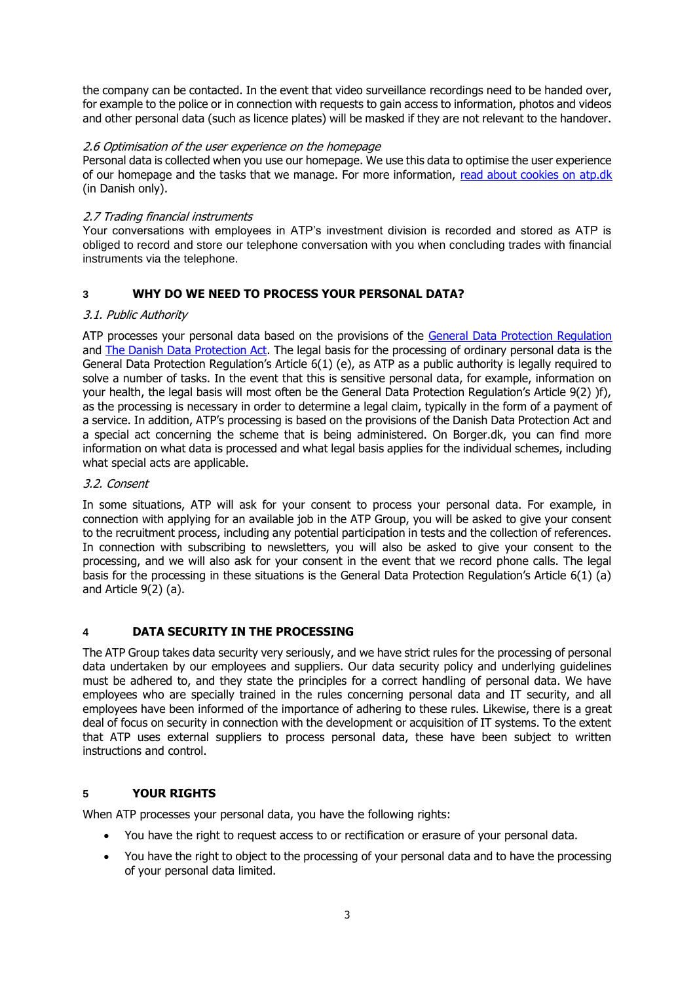the company can be contacted. In the event that video surveillance recordings need to be handed over, for example to the police or in connection with requests to gain access to information, photos and videos and other personal data (such as licence plates) will be masked if they are not relevant to the handover.

## 2.6 Optimisation of the user experience on the homepage

Personal data is collected when you use our homepage. We use this data to optimise the user experience of our homepage and the tasks that we manage. For more information, [read about cookies on](https://www.atp.dk/cookiepolitik) atp.dk (in Danish only).

## 2.7 Trading financial instruments

Your conversations with employees in ATP's investment division is recorded and stored as ATP is obliged to record and store our telephone conversation with you when concluding trades with financial instruments via the telephone.

# **3 WHY DO WE NEED TO PROCESS YOUR PERSONAL DATA?**

## 3.1. Public Authority

ATP processes your personal data based on the provisions of the [General Data Protection Regulation](http://eur-lex.europa.eu/legal-content/DA/TXT/PDF/?uri=CELEX:32016R0679&from=DA) and [The Danish Data Protection Act.](http://www.ft.dk/ripdf/samling/20171/lovforslag/l68/20171_l68_som_vedtaget.pdf) The legal basis for the processing of ordinary personal data is the General Data Protection Regulation's Article 6(1) (e), as ATP as a public authority is legally required to solve a number of tasks. In the event that this is sensitive personal data, for example, information on your health, the legal basis will most often be the General Data Protection Regulation's Article 9(2) )f), as the processing is necessary in order to determine a legal claim, typically in the form of a payment of a service. In addition, ATP's processing is based on the provisions of the Danish Data Protection Act and a special act concerning the scheme that is being administered. On Borger.dk, you can find more information on what data is processed and what legal basis applies for the individual schemes, including what special acts are applicable.

## 3.2. Consent

In some situations, ATP will ask for your consent to process your personal data. For example, in connection with applying for an available job in the ATP Group, you will be asked to give your consent to the recruitment process, including any potential participation in tests and the collection of references. In connection with subscribing to newsletters, you will also be asked to give your consent to the processing, and we will also ask for your consent in the event that we record phone calls. The legal basis for the processing in these situations is the General Data Protection Regulation's Article 6(1) (a) and Article 9(2) (a).

# **4 DATA SECURITY IN THE PROCESSING**

The ATP Group takes data security very seriously, and we have strict rules for the processing of personal data undertaken by our employees and suppliers. Our data security policy and underlying guidelines must be adhered to, and they state the principles for a correct handling of personal data. We have employees who are specially trained in the rules concerning personal data and IT security, and all employees have been informed of the importance of adhering to these rules. Likewise, there is a great deal of focus on security in connection with the development or acquisition of IT systems. To the extent that ATP uses external suppliers to process personal data, these have been subject to written instructions and control.

# **5 YOUR RIGHTS**

When ATP processes your personal data, you have the following rights:

- You have the right to request access to or rectification or erasure of your personal data.
- You have the right to object to the processing of your personal data and to have the processing of your personal data limited.